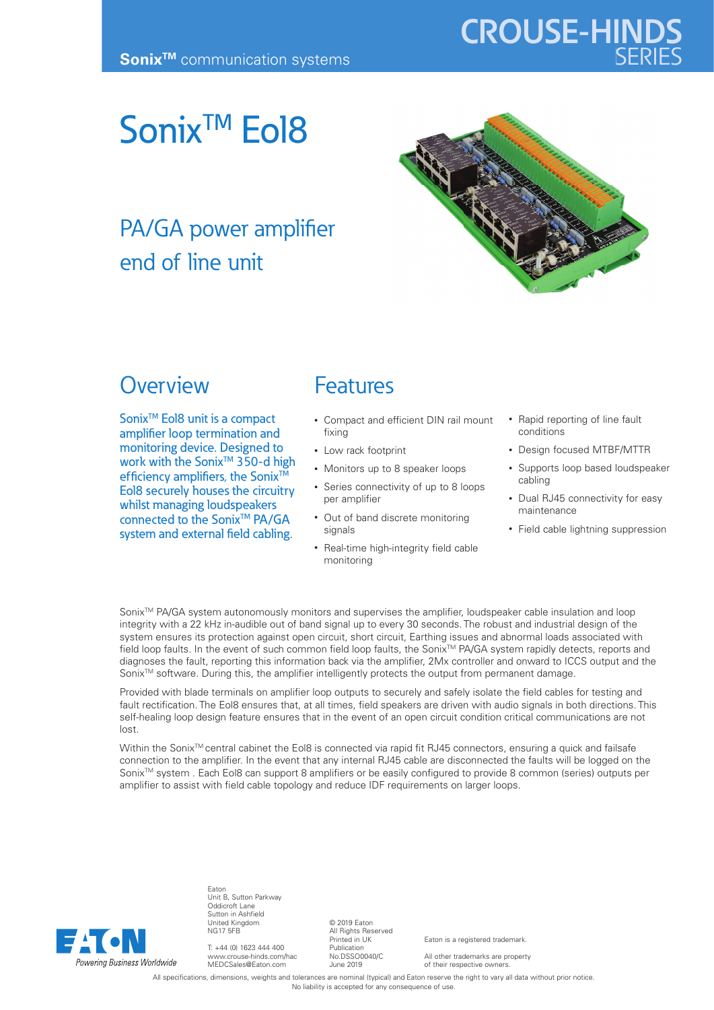# **CROUSE-HINDS**

## Sonix<sup>™</sup> Eol8

## PA/GA power amplifier end of line unit



#### **Overview**

Sonix<sup>™</sup> Eol8 unit is a compact amplifier loop termination and monitoring device. Designed to work with the Sonix<sup>™</sup> 350-d high efficiency amplifiers, the Sonix<sup>™</sup> Eol8 securely houses the circuitry whilst managing loudspeakers connected to the Sonix<sup>™</sup> PA/GA system and external field cabling.

### Features

- Compact and efficient DIN rail mount fixing
- Low rack footprint
- Monitors up to 8 speaker loops
- Series connectivity of up to 8 loops per amplifier
- Out of band discrete monitoring signals
- Real-time high-integrity field cable monitoring
- Rapid reporting of line fault conditions
- Design focused MTBF/MTTR
- Supports loop based loudspeaker cabling
- Dual RJ45 connectivity for easy maintenance
- Field cable lightning suppression

Sonix<sup>™</sup> PA/GA system autonomously monitors and supervises the amplifier, loudspeaker cable insulation and loop integrity with a 22 kHz in-audible out of band signal up to every 30 seconds. The robust and industrial design of the system ensures its protection against open circuit, short circuit, Earthing issues and abnormal loads associated with field loop faults. In the event of such common field loop faults, the Sonix<sup>TM</sup> PA/GA system rapidly detects, reports and diagnoses the fault, reporting this information back via the amplifier, 2Mx controller and onward to ICCS output and the Sonix™ software. During this, the amplifier intelligently protects the output from permanent damage.

Provided with blade terminals on amplifier loop outputs to securely and safely isolate the field cables for testing and fault rectification. The Eol8 ensures that, at all times, field speakers are driven with audio signals in both directions. This self-healing loop design feature ensures that in the event of an open circuit condition critical communications are not lost.

Within the Sonix™ central cabinet the Eol8 is connected via rapid fit RJ45 connectors, ensuring a quick and failsafe connection to the amplifier. In the event that any internal RJ45 cable are disconnected the faults will be logged on the Sonix™ system . Each Eol8 can support 8 amplifiers or be easily configured to provide 8 common (series) outputs per amplifier to assist with field cable topology and reduce IDF requirements on larger loops.



**Eator** Unit B, Sutton Parkway Oddicroft Lane Sutton in Ashfield United Kingdom NG17 5FB

T: +44 (0) 1623 444 400 www.crouse-hinds.com/hac MEDCSales@Eaton.com

© 2019 Eaton All Rights Reserved Printed in UK Publication No.DSSO0040/C June 2019

Eaton is a registered trademark.

All other trademarks are property of their respective owners.

All specifications, dimensions, weights and tolerances are nominal (typical) and Eaton reserve the right to vary all data without prior notice No liability is accepted for any consequence of use.